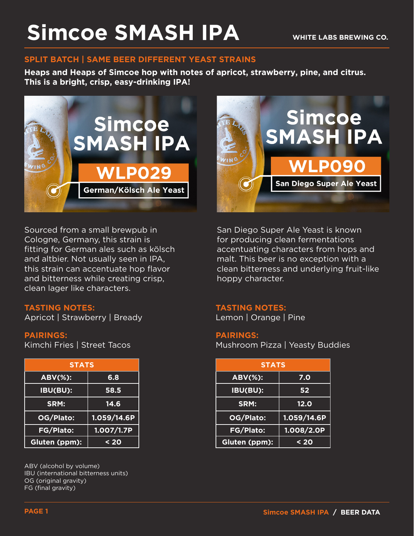## **Simcoe SMASH IPA**

#### **SPLIT BATCH | SAME BEER DIFFERENT YEAST STRAINS**

**Heaps and Heaps of Simcoe hop with notes of apricot, strawberry, pine, and citrus. This is a bright, crisp, easy-drinking IPA!**



Sourced from a small brewpub in Cologne, Germany, this strain is fitting for German ales such as kölsch and altbier. Not usually seen in IPA, this strain can accentuate hop flavor and bitterness while creating crisp, clean lager like characters.

#### **TASTING NOTES:**

Apricot | Strawberry | Bready

#### **PAIRINGS:**

Kimchi Fries | Street Tacos

| <b>STATS</b>     |             |
|------------------|-------------|
| <b>ABV(%):</b>   | 6.8         |
| IBU(BU):         | 58.5        |
| SRM:             | 14.6        |
| OG/Plato:        | 1.059/14.6P |
| <b>FG/Plato:</b> | 1.007/1.7P  |
| Gluten (ppm):    | $20$        |

ABV (alcohol by volume) IBU (international bitterness units) OG (original gravity) FG (final gravity)



San Diego Super Ale Yeast is known for producing clean fermentations accentuating characters from hops and malt. This beer is no exception with a clean bitterness and underlying fruit-like hoppy character.

#### **TASTING NOTES:**

Lemon | Orange | Pine

#### **PAIRINGS:**

Mushroom Pizza | Yeasty Buddies

| <b>STATS</b> |             | <b>STATS</b> |                |             |
|--------------|-------------|--------------|----------------|-------------|
| ÷.           | 6.8         |              | <b>ABV(%):</b> | 7.0         |
| H            | 58.5        |              | IBU(BU):       | 52          |
|              | 14.6        |              | SRM:           | 12.0        |
| :כ           | 1.059/14.6P |              | OG/Plato:      | 1.059/14.6P |
| $\mathbf{S}$ | 1.007/1.7P  |              | FG/Plato:      | 1.008/2.0P  |
| m):          | $20$        |              | Gluten (ppm):  | < 20        |